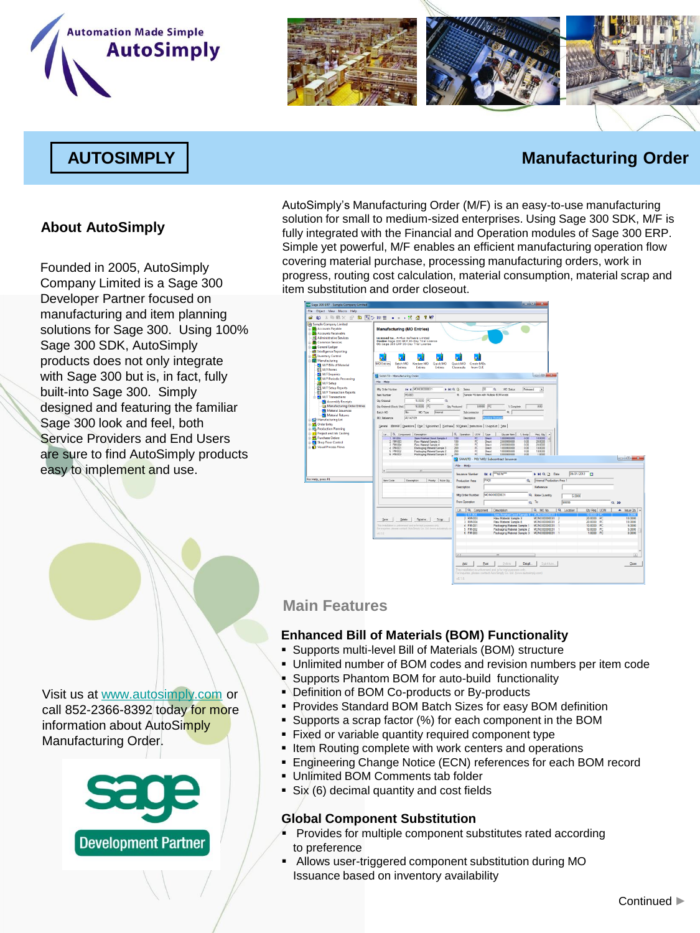





# **AUTOSIMPLY Manufacturing Order**

# **About AutoSimply**

Founded in 2005, AutoSimply Company Limited is a Sage 300 Developer Partner focused on manufacturing and item planning solutions for Sage 300. Using 100% Sage 300 SDK, AutoSimply products does not only integrate with Sage 300 but is, in fact, fully built-into Sage 300. Simply designed and featuring the familiar Sage 300 look and feel, both Service Providers and End Users are sure to find AutoSimply products easy to implement and use.

AutoSimply's Manufacturing Order (M/F) is an easy-to-use manufacturing solution for small to medium-sized enterprises. Using Sage 300 SDK, M/F is fully integrated with the Financial and Operation modules of Sage 300 ERP. Simple yet powerful, M/F enables an efficient manufacturing operation flow covering material purchase, processing manufacturing orders, work in progress, routing cost calculation, material consumption, material scrap and item substitution and order closeout.

| Sage 300 ERP - Sample Company Limited                                                                                                                                                                                                                                                                                                                                                                |                                                                                                                                                                                                                                                                                                                                                                                                                                                                                                                                                                                                                                                                                                |                                                                                                                                                                                                                                                                                                                                                                                                                                                                                                                                           | $\mathbf{r} = \mathbf{0}$ and $\mathbf{x}$                                                                                                                           |                                                                                                                                                       |
|------------------------------------------------------------------------------------------------------------------------------------------------------------------------------------------------------------------------------------------------------------------------------------------------------------------------------------------------------------------------------------------------------|------------------------------------------------------------------------------------------------------------------------------------------------------------------------------------------------------------------------------------------------------------------------------------------------------------------------------------------------------------------------------------------------------------------------------------------------------------------------------------------------------------------------------------------------------------------------------------------------------------------------------------------------------------------------------------------------|-------------------------------------------------------------------------------------------------------------------------------------------------------------------------------------------------------------------------------------------------------------------------------------------------------------------------------------------------------------------------------------------------------------------------------------------------------------------------------------------------------------------------------------------|----------------------------------------------------------------------------------------------------------------------------------------------------------------------|-------------------------------------------------------------------------------------------------------------------------------------------------------|
| File Object View Macro Help                                                                                                                                                                                                                                                                                                                                                                          |                                                                                                                                                                                                                                                                                                                                                                                                                                                                                                                                                                                                                                                                                                |                                                                                                                                                                                                                                                                                                                                                                                                                                                                                                                                           |                                                                                                                                                                      |                                                                                                                                                       |
| 3 功能× re<br>மை                                                                                                                                                                                                                                                                                                                                                                                       |                                                                                                                                                                                                                                                                                                                                                                                                                                                                                                                                                                                                                                                                                                |                                                                                                                                                                                                                                                                                                                                                                                                                                                                                                                                           |                                                                                                                                                                      |                                                                                                                                                       |
| <b>38 Sample Company Limited</b><br><b>III</b> Accounts Pavable<br><b>Ba Accounts Receivable</b><br><b>El</b> Administrative Services<br><b>Common Services</b><br>General Ledger                                                                                                                                                                                                                    | <b>Manufacturing (MO Entries)</b><br>Licensed to: , A-Plus Software Limited<br>Dealer: Sage 300 ERP 30-Day Trial License<br>CC: Sape 300 ERP 30-Day Trial License                                                                                                                                                                                                                                                                                                                                                                                                                                                                                                                              |                                                                                                                                                                                                                                                                                                                                                                                                                                                                                                                                           |                                                                                                                                                                      |                                                                                                                                                       |
| <b>dit</b> Intelligence Reporting<br>Inventory Control<br>Manufacturing<br>M/F Bills of Material<br>M/F Forms<br>M/F Inquiries                                                                                                                                                                                                                                                                       | <b>MO</b> Entries<br><b>Batch MO</b><br>Quick MO<br>Kanban MO<br>Entries<br>Entries<br>Entries                                                                                                                                                                                                                                                                                                                                                                                                                                                                                                                                                                                                 | Quick MO<br>Create MOs<br>Closequits<br>from O/E                                                                                                                                                                                                                                                                                                                                                                                                                                                                                          | <b>CONDITION</b>                                                                                                                                                     |                                                                                                                                                       |
| M/F Periodic Processing                                                                                                                                                                                                                                                                                                                                                                              | <b>Bill SAMLTO - Manufacturing Order</b>                                                                                                                                                                                                                                                                                                                                                                                                                                                                                                                                                                                                                                                       |                                                                                                                                                                                                                                                                                                                                                                                                                                                                                                                                           |                                                                                                                                                                      |                                                                                                                                                       |
| M/F Setup<br>M/F Setup Reports<br><b>EL M/F Transaction Reports</b><br><b>B</b> M/F Transactions<br>Assembly Receipts<br>Nanufacturing Order Entries<br>Material Issuances<br>Material Returns<br><b>B-52</b> Manufacturing Lot<br><b>B</b> Order Entry<br><b>G. R.</b> Production Planning<br><b>Project and Job Costing</b><br>Purchase Orders<br>Shop Floor Centrol<br>11-12 Visual Process Flows | File Help<br><b>14 4 RONO30000031</b><br>Mig Order Number<br>HQD<br>PG-003<br>ten Nurder<br><b>City Ordened</b><br>10,0000<br>$\mathbb{R}$<br>$\alpha$<br>10,0000 FC<br>Oly Onleved (Stock Unit)<br>Datch NO<br>IN6<br>MD Type<br><b>Internal</b><br>02142109<br><b>NO Reference</b><br>General Elaterial Coventions   Cylis   Sybcortract   Furchase   SCOetalis   Instructions   Copyribut   Tital  <br>Q. Component Description<br>in.<br>SF-004<br>Seni Freshed Good Sangle 4<br>FM-003<br>Raw Material Sangle 3<br>FM-004<br>Ray Material Service 4<br>4 PM-001<br><b>Packaging Material Sample 1</b><br>PM-002<br>Peckeping Meterial Sample 2<br>6 PM 003<br>Fackaging Material Sample 3 | m<br>$\alpha$<br>MO Status<br>Series<br>Sangle FG bert with Multiple BOM levels<br>۰<br>0.0000 PC<br><b>Cty Produced</b><br>% Complete<br>κI<br><b>Subcontractive</b><br><b>Description</b><br>Q. Operation   UOM   Type<br><b>Olyger ten I</b><br>1 000000000<br>100<br>陀陀<br>Died<br>100<br>2.0000000000<br>Deect<br>100<br>RC<br>Drect<br>2.000000000<br>PC.<br>200<br>1.000000000<br>Direct<br>200<br>Deed<br>1.000000000<br>PC<br>$200 - 100$<br>Deed<br>0.000000000<br><b>E2</b> SAMLTD - PO/ MO/ Subcontract Issuance<br>File Help | Released<br>ᅬ<br>0.00<br>% Sono<br>Fies $Q_Y$ $\sim$<br>0.00<br>10.0000<br>0.00<br>20,0000<br>0.00<br>20,0000<br>0.00<br>10,0000<br>0.00<br>10,0000<br>600<br>1,0000 | $\overline{a}$ $\overline{a}$ $\overline{a}$ $\overline{a}$                                                                                           |
|                                                                                                                                                                                                                                                                                                                                                                                                      |                                                                                                                                                                                                                                                                                                                                                                                                                                                                                                                                                                                                                                                                                                | <b>IK 4 THEWT</b><br><b>Issuance Number</b>                                                                                                                                                                                                                                                                                                                                                                                                                                                                                               | H RI Q D Date                                                                                                                                                        | 09/21/2012                                                                                                                                            |
| or Help, press F1                                                                                                                                                                                                                                                                                                                                                                                    | <b>Terri Code</b><br>Priority Subs Oly<br>Description                                                                                                                                                                                                                                                                                                                                                                                                                                                                                                                                                                                                                                          | PA01<br><b>Production Area</b>                                                                                                                                                                                                                                                                                                                                                                                                                                                                                                            | <b>Internal Production Area 1</b><br>a                                                                                                                               |                                                                                                                                                       |
|                                                                                                                                                                                                                                                                                                                                                                                                      |                                                                                                                                                                                                                                                                                                                                                                                                                                                                                                                                                                                                                                                                                                | Description                                                                                                                                                                                                                                                                                                                                                                                                                                                                                                                               | Reference                                                                                                                                                            |                                                                                                                                                       |
|                                                                                                                                                                                                                                                                                                                                                                                                      |                                                                                                                                                                                                                                                                                                                                                                                                                                                                                                                                                                                                                                                                                                | MONO00000031<br>Mig Order Number                                                                                                                                                                                                                                                                                                                                                                                                                                                                                                          | Q. Base Quantity<br>5.0000                                                                                                                                           |                                                                                                                                                       |
|                                                                                                                                                                                                                                                                                                                                                                                                      |                                                                                                                                                                                                                                                                                                                                                                                                                                                                                                                                                                                                                                                                                                | From Operation                                                                                                                                                                                                                                                                                                                                                                                                                                                                                                                            | a To<br>99999                                                                                                                                                        |                                                                                                                                                       |
|                                                                                                                                                                                                                                                                                                                                                                                                      |                                                                                                                                                                                                                                                                                                                                                                                                                                                                                                                                                                                                                                                                                                |                                                                                                                                                                                                                                                                                                                                                                                                                                                                                                                                           |                                                                                                                                                                      | $Q$ 33                                                                                                                                                |
|                                                                                                                                                                                                                                                                                                                                                                                                      | Receive.<br>Song.<br>Deleter<br>Seve<br>The installators is unforceed and refusively purposed only<br>Forecame, please certain Amiliepic Dr. Ltd. boxes automake or<br>$-3.5.6$                                                                                                                                                                                                                                                                                                                                                                                                                                                                                                                | Q. Component<br>Description<br>Un.<br>2 RM-003<br>Raw Material Sancie 3<br>RM-004<br>Raw Material Sample 4<br>4 PM-001<br>Packaging Material Sample 1<br>5 PM-002<br>Packaging Material Sample 2<br>6 PM-003<br>Packaging Material Sample 3                                                                                                                                                                                                                                                                                               | Q 540 No<br>Q Location<br>MOND00000011<br>MONO00000031<br>MOND00000031<br>MOND00000031<br>MONO00000031                                                               | Qty Req UOM<br>- Issue Oty -<br>10.0000<br>20,0000 PC<br>20,0000 PC<br>10.0000<br>10,0000 PC<br>5,0000<br>5.0000<br>10,0000 PC<br>1,0000 PC<br>0.0000 |
|                                                                                                                                                                                                                                                                                                                                                                                                      |                                                                                                                                                                                                                                                                                                                                                                                                                                                                                                                                                                                                                                                                                                |                                                                                                                                                                                                                                                                                                                                                                                                                                                                                                                                           |                                                                                                                                                                      |                                                                                                                                                       |
|                                                                                                                                                                                                                                                                                                                                                                                                      |                                                                                                                                                                                                                                                                                                                                                                                                                                                                                                                                                                                                                                                                                                | $\sim$                                                                                                                                                                                                                                                                                                                                                                                                                                                                                                                                    |                                                                                                                                                                      | D.                                                                                                                                                    |
|                                                                                                                                                                                                                                                                                                                                                                                                      |                                                                                                                                                                                                                                                                                                                                                                                                                                                                                                                                                                                                                                                                                                | 8dd<br>Delete<br><b>Post</b><br>This installation is unlicensed and is for trial purposes only<br>For inquiries, please contact Auto Smply Co. Ltd. (www.autosimply.com)<br>v610.                                                                                                                                                                                                                                                                                                                                                         | Detail<br>Substitute.                                                                                                                                                | Dose                                                                                                                                                  |

# **Main Features**

#### **Enhanced Bill of Materials (BOM) Functionality**

- Supports multi-level Bill of Materials (BOM) structure
- Unlimited number of BOM codes and revision numbers per item code
- Supports Phantom BOM for auto-build functionality
- Definition of BOM Co-products or By-products
- Provides Standard BOM Batch Sizes for easy BOM definition
- Supports a scrap factor (%) for each component in the BOM
- **Fixed or variable quantity required component type**
- **Item Routing complete with work centers and operations**
- **Engineering Change Notice (ECN) references for each BOM record**
- Unlimited BOM Comments tab folder
- Six (6) decimal quantity and cost fields

#### **Global Component Substitution**

- Provides for multiple component substitutes rated according to preference
- Allows user-triggered component substitution during MO Issuance based on inventory availability

Visit us at [www.autosimply.com](http://www.autosimply.com/) or call 852-2366-8392 today for more information about AutoSimply Manufacturing Order.